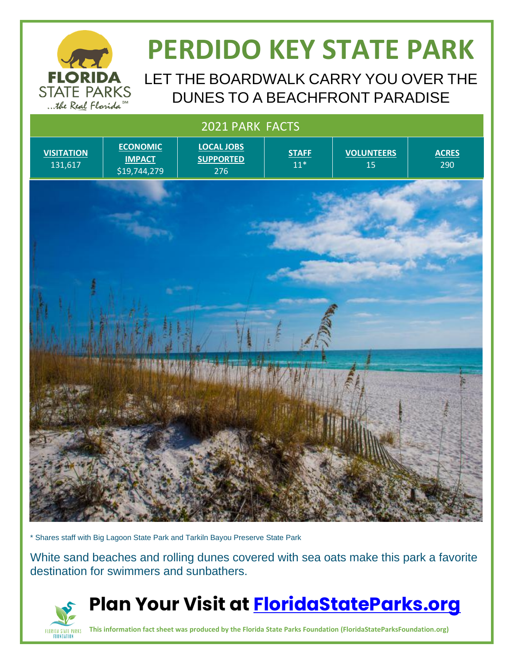

## **PERDIDO KEY STATE PARK**

LET THE BOARDWALK CARRY YOU OVER THE DUNES TO A BEACHFRONT PARADISE



\* Shares staff with Big Lagoon State Park and Tarkiln Bayou Preserve State Park

FLORIDA STATE PARKS<br>Foundation

White sand beaches and rolling dunes covered with sea oats make this park a favorite destination for swimmers and sunbathers.



**This information fact sheet was produced by the Florida State Parks Foundation (FloridaStateParksFoundation.org)**